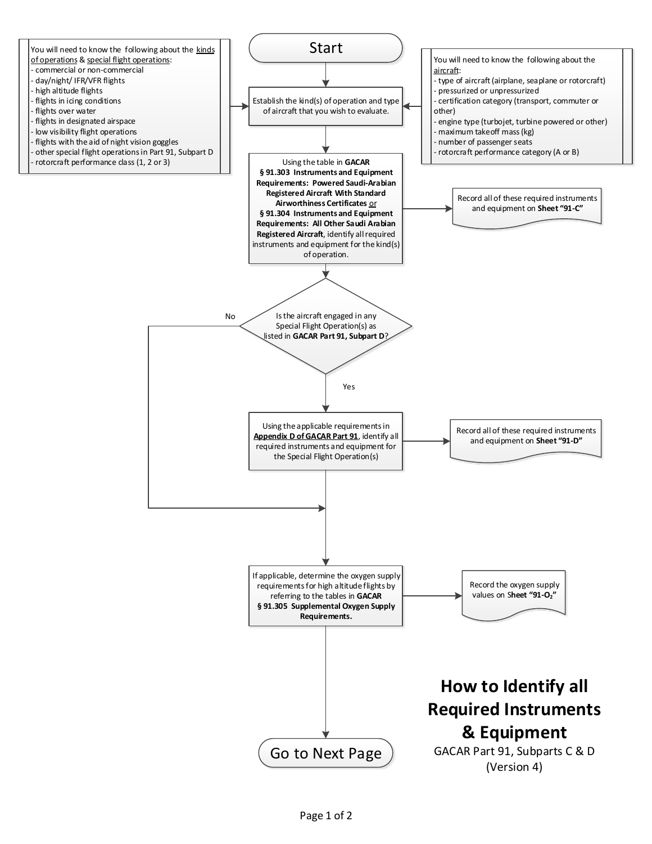